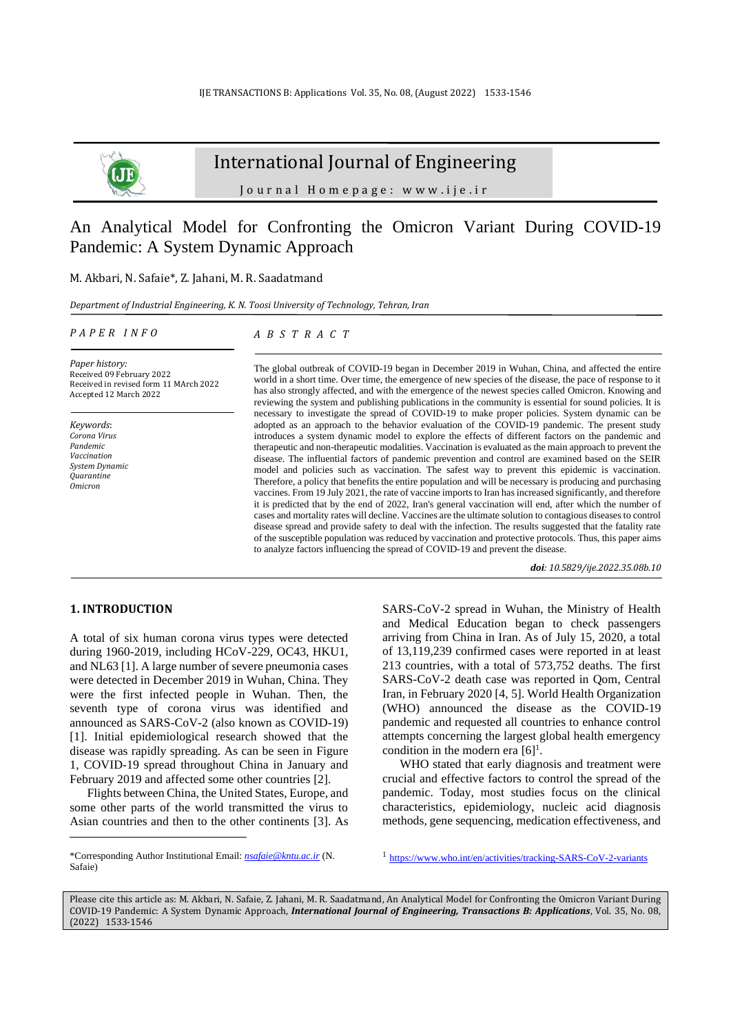

# International Journal of Engineering

J o u r n a l H o m e p a g e : w w w . i j e . i r

# An Analytical Model for Confronting the Omicron Variant During COVID-19 Pandemic: A System Dynamic Approach

### M. Akbari, N. Safaie\*, Z. Jahani, M. R. Saadatmand

*Department of Industrial Engineering, K. N. Toosi University of Technology, Tehran, Iran*

#### *P A P E R I N F O*

*A B S T R A C T*

*Paper history:* Received 09 February 2022 Received in revised form 11 MArch 2022 Accepted 12 March 2022

*Keywords*: *Corona Virus Pandemic Vaccination System Dynamic Quarantine Omicron*

The global outbreak of COVID-19 began in December 2019 in Wuhan, China, and affected the entire world in a short time. Over time, the emergence of new species of the disease, the pace of response to it has also strongly affected, and with the emergence of the newest species called Omicron. Knowing and reviewing the system and publishing publications in the community is essential for sound policies. It is necessary to investigate the spread of COVID-19 to make proper policies. System dynamic can be adopted as an approach to the behavior evaluation of the COVID-19 pandemic. The present study introduces a system dynamic model to explore the effects of different factors on the pandemic and therapeutic and non-therapeutic modalities. Vaccination is evaluated as the main approach to prevent the disease. The influential factors of pandemic prevention and control are examined based on the SEIR model and policies such as vaccination. The safest way to prevent this epidemic is vaccination. Therefore, a policy that benefits the entire population and will be necessary is producing and purchasing vaccines. From 19 July 2021, the rate of vaccine imports to Iran has increased significantly, and therefore it is predicted that by the end of 2022, Iran's general vaccination will end, after which the number of cases and mortality rates will decline. Vaccines are the ultimate solution to contagious diseases to control disease spread and provide safety to deal with the infection. The results suggested that the fatality rate of the susceptible population was reduced by vaccination and protective protocols. Thus, this paper aims to analyze factors influencing the spread of COVID-19 and prevent the disease.

*doi: 10.5829/ije.2022.35.08b.10*

#### **1. INTRODUCTION<sup>1</sup>**

A total of six human corona virus types were detected during 1960-2019, including HCoV-229, OC43, HKU1, and NL63 [\[1\]](#page-11-0). A large number of severe pneumonia cases were detected in December 2019 in Wuhan, China. They were the first infected people in Wuhan. Then, the seventh type of corona virus was identified and announced as SARS-CoV-2 (also known as COVID-19) [1]. Initial epidemiological research showed that the disease was rapidly spreading. As can be seen in Figure 1, COVID-19 spread throughout China in January and February 2019 and affected some other countries [\[2\]](#page-11-1).

Flights between China, the United States, Europe, and some other parts of the world transmitted the virus to Asian countries and then to the other continents [\[3\]](#page-12-0). As SARS-CoV-2 spread in Wuhan, the Ministry of Health and Medical Education began to check passengers arriving from China in Iran. As of July 15, 2020, a total of 13,119,239 confirmed cases were reported in at least 213 countries, with a total of 573,752 deaths. The first SARS-CoV-2 death case was reported in Qom, Central Iran, in February 2020 [\[4,](#page-12-1) [5\]](#page-12-2). World Health Organization (WHO) announced the disease as the COVID-19 pandemic and requested all countries to enhance control attempts concerning the largest global health emergency condition in the modern era  $[6]$ <sup>1</sup>.

WHO stated that early diagnosis and treatment were crucial and effective factors to control the spread of the pandemic. Today, most studies focus on the clinical characteristics, epidemiology, nucleic acid diagnosis methods, gene sequencing, medication effectiveness, and

<sup>1</sup>2<https://www.who.int/en/activities/tracking-SARS-CoV-2-variants>

Please cite this article as: M. Akbari, N. Safaie, Z. Jahani, M. R. Saadatmand, An Analytical Model for Confronting the Omicron Variant During COVID-19 Pandemic: A System Dynamic Approach, *International Journal of Engineering, Transactions B: Applications*, Vol. 35, No. 08, (2022) 1533-1546

<sup>\*</sup>Corresponding Author Institutional Email: *[nsafaie@kntu.ac.ir](mailto:nsafaie@kntu.ac.ir)* (N. Safaie)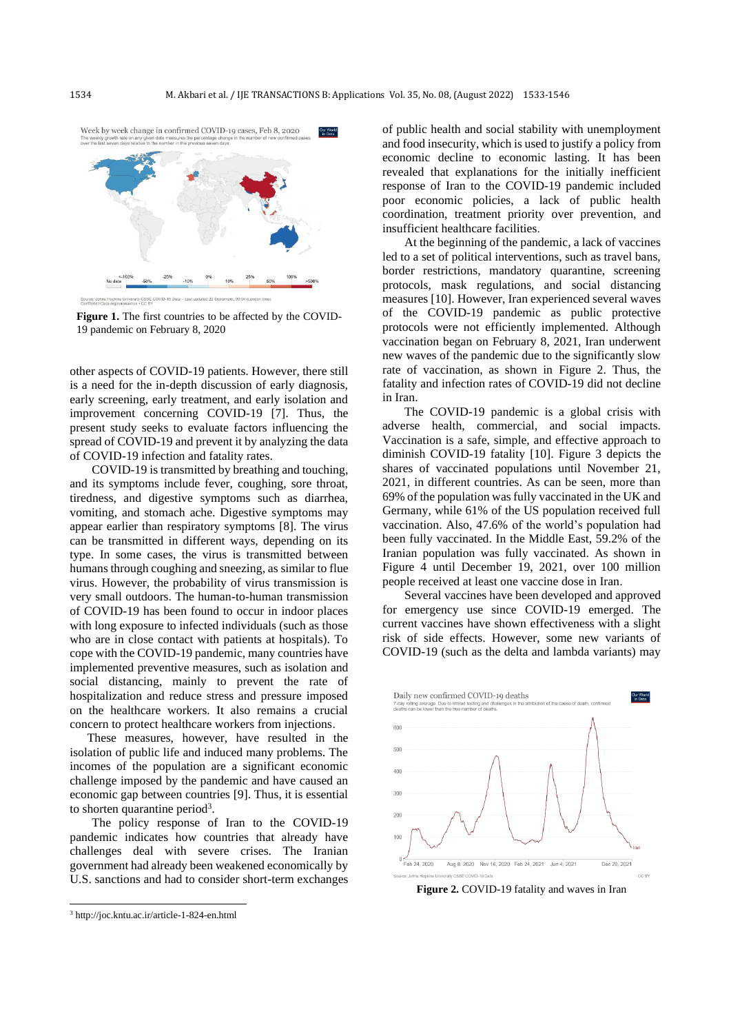

**Figure 1.** The first countries to be affected by the COVID-19 pandemic on February 8, 2020

other aspects of COVID-19 patients. However, there still is a need for the in-depth discussion of early diagnosis, early screening, early treatment, and early isolation and improvement concerning COVID-19 [\[7\]](#page-12-4). Thus, the present study seeks to evaluate factors influencing the spread of COVID-19 and prevent it by analyzing the data of COVID-19 infection and fatality rates.

COVID-19 is transmitted by breathing and touching, and its symptoms include fever, coughing, sore throat, tiredness, and digestive symptoms such as diarrhea, vomiting, and stomach ache. Digestive symptoms may appear earlier than respiratory symptoms [\[8\]](#page-12-5). The virus can be transmitted in different ways, depending on its type. In some cases, the virus is transmitted between humans through coughing and sneezing, as similar to flue virus. However, the probability of virus transmission is very small outdoors. The human-to-human transmission of COVID-19 has been found to occur in indoor places with long exposure to infected individuals (such as those who are in close contact with patients at hospitals). To cope with the COVID-19 pandemic, many countries have implemented preventive measures, such as isolation and social distancing, mainly to prevent the rate of hospitalization and reduce stress and pressure imposed on the healthcare workers. It also remains a crucial concern to protect healthcare workers from injections.

These measures, however, have resulted in the isolation of public life and induced many problems. The incomes of the population are a significant economic challenge imposed by the pandemic and have caused an economic gap between countries [\[9\]](#page-12-6). Thus, it is essential to shorten quarantine period<sup>3</sup>.

The policy response of Iran to the COVID-19 pandemic indicates how countries that already have challenges deal with severe crises. The Iranian government had already been weakened economically by U.S. sanctions and had to consider short-term exchanges of public health and social stability with unemployment and food insecurity, which is used to justify a policy from economic decline to economic lasting. It has been revealed that explanations for the initially inefficient response of Iran to the COVID-19 pandemic included poor economic policies, a lack of public health coordination, treatment priority over prevention, and insufficient healthcare facilities.

At the beginning of the pandemic, a lack of vaccines led to a set of political interventions, such as travel bans, border restrictions, mandatory quarantine, screening protocols, mask regulations, and social distancing measures [\[10\]](#page-12-7). However, Iran experienced several waves of the COVID-19 pandemic as public protective protocols were not efficiently implemented. Although vaccination began on February 8, 2021, Iran underwent new waves of the pandemic due to the significantly slow rate of vaccination, as shown in Figure 2. Thus, the fatality and infection rates of COVID-19 did not decline in Iran.

The COVID-19 pandemic is a global crisis with adverse health, commercial, and social impacts. Vaccination is a safe, simple, and effective approach to diminish COVID-19 fatality [\[10\]](#page-12-7). Figure 3 depicts the shares of vaccinated populations until November 21, 2021, in different countries. As can be seen, more than 69% of the population was fully vaccinated in the UK and Germany, while 61% of the US population received full vaccination. Also, 47.6% of the world's population had been fully vaccinated. In the Middle East, 59.2% of the Iranian population was fully vaccinated. As shown in Figure 4 until December 19, 2021, over 100 million people received at least one vaccine dose in Iran .

Several vaccines have been developed and approved for emergency use since COVID-19 emerged. The current vaccines have shown effectiveness with a slight risk of side effects. However, some new variants of COVID-19 (such as the delta and lambda variants) may



**Figure 2.** COVID-19 fatality and waves in Iran

<sup>3</sup> http://joc.kntu.ac.ir/article-1-824-en.html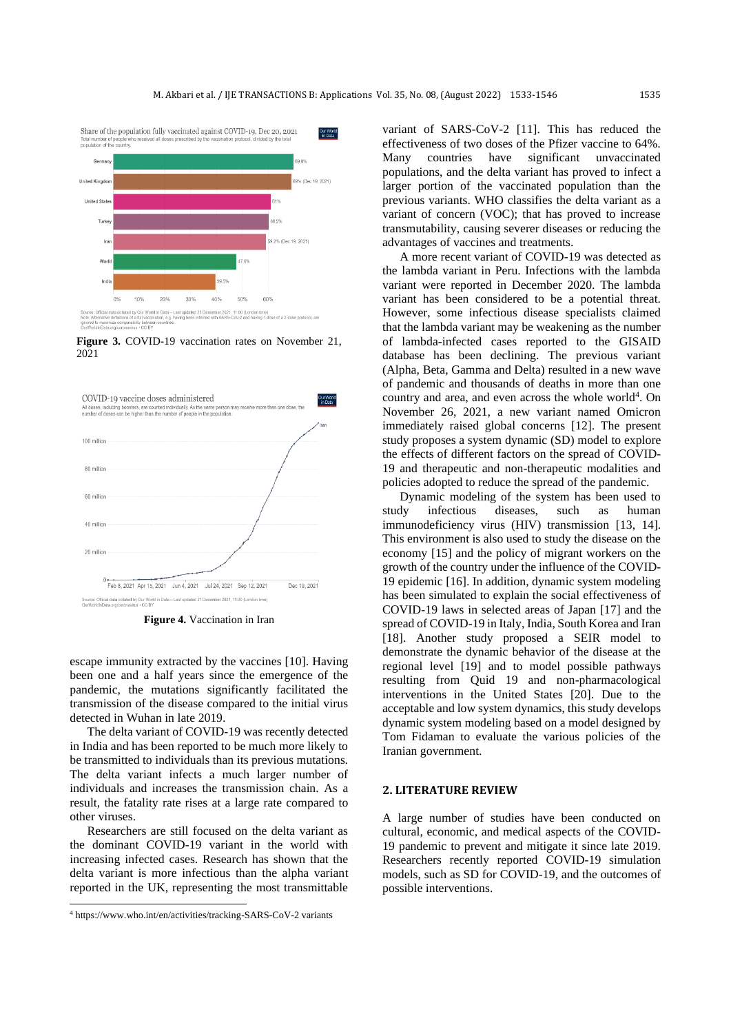

**Figure 3.** COVID-19 vaccination rates on November 21, 2021



**Figure 4.** Vaccination in Iran

escape immunity extracted by the vaccines [10]. Having been one and a half years since the emergence of the pandemic, the mutations significantly facilitated the transmission of the disease compared to the initial virus detected in Wuhan in late 2019.

The delta variant of COVID-19 was recently detected in India and has been reported to be much more likely to be transmitted to individuals than its previous mutations. The delta variant infects a much larger number of individuals and increases the transmission chain. As a result, the fatality rate rises at a large rate compared to other viruses.

Researchers are still focused on the delta variant as the dominant COVID-19 variant in the world with increasing infected cases. Research has shown that the delta variant is more infectious than the alpha variant reported in the UK, representing the most transmittable

variant of SARS-CoV-2 [\[11\]](#page-12-8). This has reduced the effectiveness of two doses of the Pfizer vaccine to 64%. Many countries have significant unvaccinated populations, and the delta variant has proved to infect a larger portion of the vaccinated population than the previous variants. WHO classifies the delta variant as a variant of concern (VOC); that has proved to increase transmutability, causing severer diseases or reducing the advantages of vaccines and treatments.

A more recent variant of COVID-19 was detected as the lambda variant in Peru. Infections with the lambda variant were reported in December 2020. The lambda variant has been considered to be a potential threat. However, some infectious disease specialists claimed that the lambda variant may be weakening as the number of lambda-infected cases reported to the GISAID database has been declining. The previous variant (Alpha, Beta, Gamma and Delta) resulted in a new wave of pandemic and thousands of deaths in more than one country and area, and even across the whole world<sup>4</sup>. On November 26, 2021, a new variant named Omicron immediately raised global concerns [\[12\]](#page-12-9). The present study proposes a system dynamic (SD) model to explore the effects of different factors on the spread of COVID-19 and therapeutic and non-therapeutic modalities and policies adopted to reduce the spread of the pandemic.

Dynamic modeling of the system has been used to study infectious diseases, such as human immunodeficiency virus (HIV) transmission [\[13,](#page-12-10) [14\]](#page-12-11). This environment is also used to study the disease on the economy [\[15\]](#page-12-12) and the policy of migrant workers on the growth of the country under the influence of the COVID-19 epidemic [\[16\]](#page-12-13). In addition, dynamic system modeling has been simulated to explain the social effectiveness of COVID-19 laws in selected areas of Japan [\[17\]](#page-12-14) and the spread of COVID-19 in Italy, India, South Korea and Iran [\[18\]](#page-12-15). Another study proposed a SEIR model to demonstrate the dynamic behavior of the disease at the regional level [\[19\]](#page-12-16) and to model possible pathways resulting from Quid 19 and non-pharmacological interventions in the United States [\[20\]](#page-12-17). Due to the acceptable and low system dynamics, this study develops dynamic system modeling based on a model designed by Tom Fidaman to evaluate the various policies of the Iranian government.

#### **2. LITERATURE REVIEW**

A large number of studies have been conducted on cultural, economic, and medical aspects of the COVID-19 pandemic to prevent and mitigate it since late 2019. Researchers recently reported COVID-19 simulation models, such as SD for COVID-19, and the outcomes of possible interventions.

<sup>4</sup> https://www.who.int/en/activities/tracking-SARS-CoV-2 variants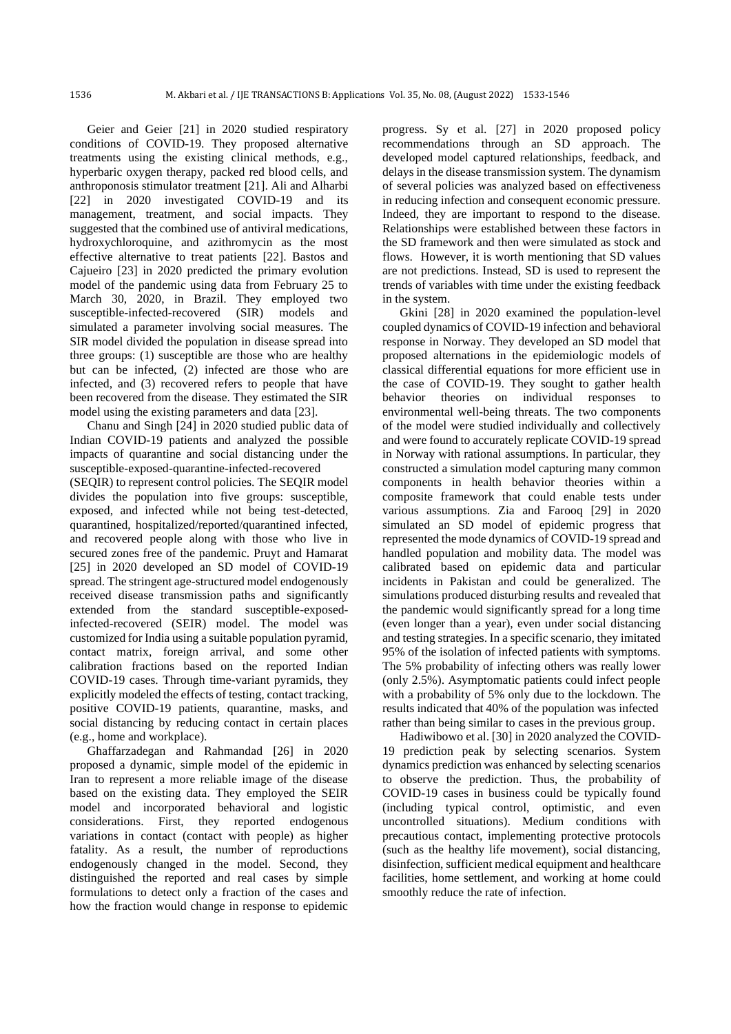Geier and Geier [\[21\]](#page-12-18) in 2020 studied respiratory conditions of COVID-19. They proposed alternative treatments using the existing clinical methods, e.g., hyperbaric oxygen therapy, packed red blood cells, and anthroponosis stimulator treatment [21]. Ali and Alharbi [\[22\]](#page-12-19) in 2020 investigated COVID-19 and its management, treatment, and social impacts. They suggested that the combined use of antiviral medications. hydroxychloroquine, and azithromycin as the most effective alternative to treat patients [22]. Bastos and Cajueiro [\[23\]](#page-12-20) in 2020 predicted the primary evolution model of the pandemic using data from February 25 to March 30, 2020, in Brazil. They employed two susceptible-infected-recovered (SIR) models and simulated a parameter involving social measures. The SIR model divided the population in disease spread into three groups: (1) susceptible are those who are healthy but can be infected, (2) infected are those who are infected, and (3) recovered refers to people that have been recovered from the disease. They estimated the SIR model using the existing parameters and data [23].

Chanu and Singh [\[24\]](#page-12-21) in 2020 studied public data of Indian COVID-19 patients and analyzed the possible impacts of quarantine and social distancing under the susceptible-exposed-quarantine-infected-recovered (SEQIR) to represent control policies. The SEQIR model divides the population into five groups: susceptible, exposed, and infected while not being test-detected, quarantined, hospitalized/reported/quarantined infected, and recovered people along with those who live in secured zones free of the pandemic. Pruyt and Hamarat [\[25\]](#page-12-22) in 2020 developed an SD model of COVID-19 spread. The stringent age-structured model endogenously received disease transmission paths and significantly extended from the standard susceptible-exposedinfected-recovered (SEIR) model. The model was customized for India using a suitable population pyramid, contact matrix, foreign arrival, and some other calibration fractions based on the reported Indian COVID-19 cases. Through time-variant pyramids, they explicitly modeled the effects of testing, contact tracking, positive COVID-19 patients, quarantine, masks, and social distancing by reducing contact in certain places (e.g., home and workplace).

Ghaffarzadegan and Rahmandad [\[26\]](#page-12-23) in 2020 proposed a dynamic, simple model of the epidemic in Iran to represent a more reliable image of the disease based on the existing data. They employed the SEIR model and incorporated behavioral and logistic considerations. First, they reported endogenous variations in contact (contact with people) as higher fatality. As a result, the number of reproductions endogenously changed in the model. Second, they distinguished the reported and real cases by simple formulations to detect only a fraction of the cases and how the fraction would change in response to epidemic

progress. Sy et al. [\[27\]](#page-12-24) in 2020 proposed policy recommendations through an SD approach. The developed model captured relationships, feedback, and delays in the disease transmission system. The dynamism of several policies was analyzed based on effectiveness in reducing infection and consequent economic pressure. Indeed, they are important to respond to the disease. Relationships were established between these factors in the SD framework and then were simulated as stock and flows. However, it is worth mentioning that SD values are not predictions. Instead, SD is used to represent the trends of variables with time under the existing feedback in the system.

Gkini [\[28\]](#page-12-25) in 2020 examined the population-level coupled dynamics of COVID-19 infection and behavioral response in Norway. They developed an SD model that proposed alternations in the epidemiologic models of classical differential equations for more efficient use in the case of COVID-19. They sought to gather health behavior theories on individual responses to environmental well-being threats. The two components of the model were studied individually and collectively and were found to accurately replicate COVID-19 spread in Norway with rational assumptions. In particular, they constructed a simulation model capturing many common components in health behavior theories within a composite framework that could enable tests under various assumptions. Zia and Farooq [\[29\]](#page-12-26) in 2020 simulated an SD model of epidemic progress that represented the mode dynamics of COVID-19 spread and handled population and mobility data. The model was calibrated based on epidemic data and particular incidents in Pakistan and could be generalized. The simulations produced disturbing results and revealed that the pandemic would significantly spread for a long time (even longer than a year), even under social distancing and testing strategies. In a specific scenario, they imitated 95% of the isolation of infected patients with symptoms. The 5% probability of infecting others was really lower (only 2.5%). Asymptomatic patients could infect people with a probability of 5% only due to the lockdown. The results indicated that 40% of the population was infected rather than being similar to cases in the previous group.

Hadiwibowo et al. [\[30\]](#page-12-27) in 2020 analyzed the COVID-19 prediction peak by selecting scenarios. System dynamics prediction was enhanced by selecting scenarios to observe the prediction. Thus, the probability of COVID-19 cases in business could be typically found (including typical control, optimistic, and even uncontrolled situations). Medium conditions with precautious contact, implementing protective protocols (such as the healthy life movement), social distancing, disinfection, sufficient medical equipment and healthcare facilities, home settlement, and working at home could smoothly reduce the rate of infection.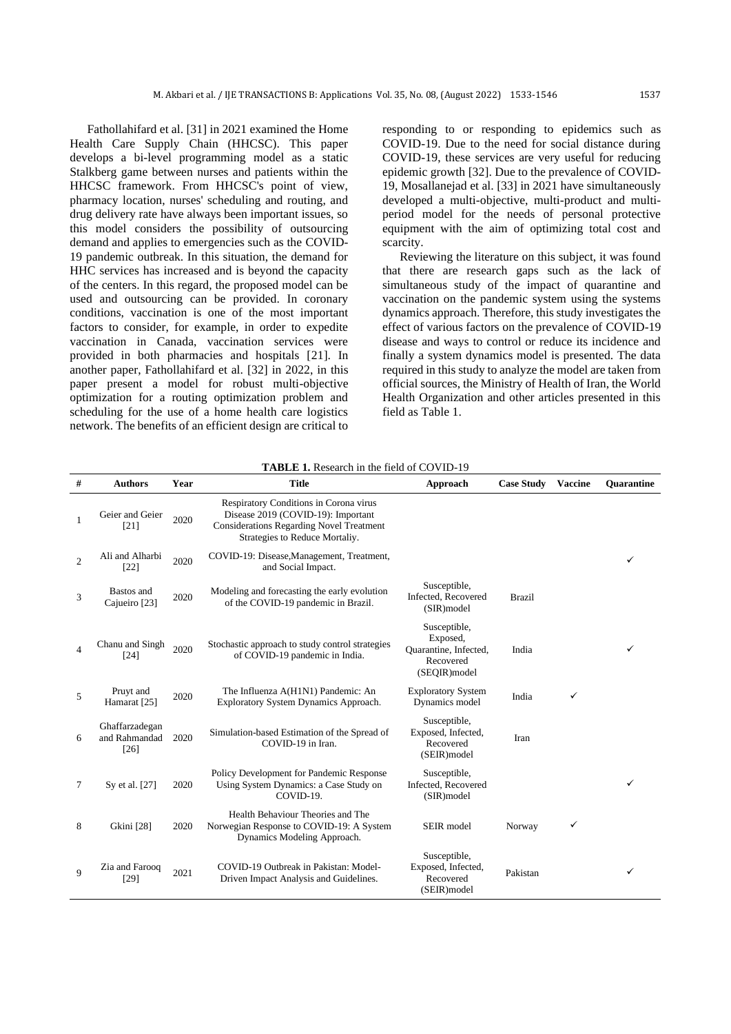Fathollahifard et al. [\[31\]](#page-12-28) in 2021 examined the Home Health Care Supply Chain (HHCSC). This paper develops a bi-level programming model as a static Stalkberg game between nurses and patients within the HHCSC framework. From HHCSC's point of view, pharmacy location, nurses' scheduling and routing, and drug delivery rate have always been important issues, so this model considers the possibility of outsourcing demand and applies to emergencies such as the COVID-19 pandemic outbreak. In this situation, the demand for HHC services has increased and is beyond the capacity of the centers. In this regard, the proposed model can be used and outsourcing can be provided. In coronary conditions, vaccination is one of the most important factors to consider, for example, in order to expedite vaccination in Canada, vaccination services were provided in both pharmacies and hospitals [21]. In another paper, Fathollahifard et al. [\[32\]](#page-13-0) in 2022, in this paper present a model for robust multi-objective optimization for a routing optimization problem and scheduling for the use of a home health care logistics network. The benefits of an efficient design are critical to responding to or responding to epidemics such as COVID-19. Due to the need for social distance during COVID-19, these services are very useful for reducing epidemic growth [\[32\]](#page-13-0). Due to the prevalence of COVID-19, Mosallanejad et al. [\[33\]](#page-13-1) in 2021 have simultaneously developed a multi-objective, multi-product and multiperiod model for the needs of personal protective equipment with the aim of optimizing total cost and scarcity.

Reviewing the literature on this subject, it was found that there are research gaps such as the lack of simultaneous study of the impact of quarantine and vaccination on the pandemic system using the systems dynamics approach. Therefore, this study investigates the effect of various factors on the prevalence of COVID-19 disease and ways to control or reduce its incidence and finally a system dynamics model is presented. The data required in this study to analyze the model are taken from official sources, the Ministry of Health of Iran, the World Health Organization and other articles presented in this field as Table 1.

| $\#$           | <b>Authors</b>                            | Year | <b>Title</b>                                                                                                                                                      | Approach                                                                        | <b>Case Study</b> | <b>Vaccine</b> | <b>Ouarantine</b> |
|----------------|-------------------------------------------|------|-------------------------------------------------------------------------------------------------------------------------------------------------------------------|---------------------------------------------------------------------------------|-------------------|----------------|-------------------|
| 1              | Geier and Geier<br>$[21]$                 | 2020 | Respiratory Conditions in Corona virus<br>Disease 2019 (COVID-19): Important<br><b>Considerations Regarding Novel Treatment</b><br>Strategies to Reduce Mortaliy. |                                                                                 |                   |                |                   |
| $\overline{c}$ | Ali and Alharbi<br>[22]                   | 2020 | COVID-19: Disease, Management, Treatment,<br>and Social Impact.                                                                                                   |                                                                                 |                   |                | ✓                 |
| 3              | Bastos and<br>Cajueiro [23]               | 2020 | Modeling and forecasting the early evolution<br>of the COVID-19 pandemic in Brazil.                                                                               | Susceptible,<br>Infected, Recovered<br>(SIR) model                              | <b>Brazil</b>     |                |                   |
| 4              | Chanu and Singh<br>$[24]$                 | 2020 | Stochastic approach to study control strategies<br>of COVID-19 pandemic in India.                                                                                 | Susceptible,<br>Exposed,<br>Quarantine, Infected,<br>Recovered<br>(SEOIR) model | India             |                |                   |
| 5              | Pruyt and<br>Hamarat [25]                 | 2020 | The Influenza A(H1N1) Pandemic: An<br>Exploratory System Dynamics Approach.                                                                                       | <b>Exploratory System</b><br>Dynamics model                                     | India             | ✓              |                   |
| 6              | Ghaffarzadegan<br>and Rahmandad<br>$[26]$ | 2020 | Simulation-based Estimation of the Spread of<br>COVID-19 in Iran.                                                                                                 | Susceptible,<br>Exposed, Infected,<br>Recovered<br>(SEIR) model                 | Iran              |                |                   |
| 7              | Sy et al. [27]                            | 2020 | Policy Development for Pandemic Response<br>Using System Dynamics: a Case Study on<br>COVID-19.                                                                   | Susceptible,<br>Infected, Recovered<br>(SIR) model                              |                   |                |                   |
| 8              | Gkini [28]                                | 2020 | Health Behaviour Theories and The<br>Norwegian Response to COVID-19: A System<br>Dynamics Modeling Approach.                                                      | SEIR model                                                                      | Norway            | ✓              |                   |
| 9              | Zia and Farooq<br>$[29]$                  | 2021 | COVID-19 Outbreak in Pakistan: Model-<br>Driven Impact Analysis and Guidelines.                                                                                   | Susceptible,<br>Exposed, Infected,<br>Recovered<br>(SEIR) model                 | Pakistan          |                | ✓                 |

**TABLE 1.** Research in the field of COVID-19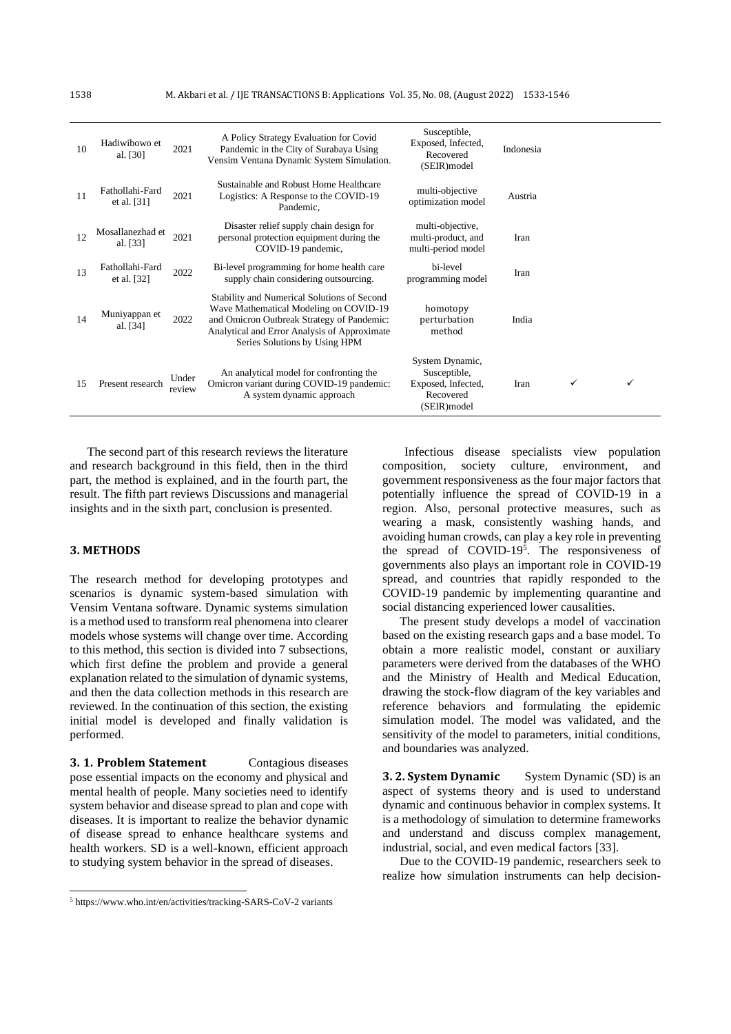| 10 | Hadiwibowo et<br>al. [30]        | 2021            | A Policy Strategy Evaluation for Covid<br>Pandemic in the City of Surabaya Using<br>Vensim Ventana Dynamic System Simulation.                                                                                        | Susceptible,<br>Exposed, Infected,<br>Recovered<br>(SEIR)model                     | Indonesia |  |  |
|----|----------------------------------|-----------------|----------------------------------------------------------------------------------------------------------------------------------------------------------------------------------------------------------------------|------------------------------------------------------------------------------------|-----------|--|--|
| 11 | Fathollahi-Fard<br>et al. $[31]$ | 2021            | Sustainable and Robust Home Healthcare<br>Logistics: A Response to the COVID-19<br>Pandemic,                                                                                                                         | multi-objective<br>optimization model                                              | Austria   |  |  |
| 12 | Mosallanezhad et<br>al. [33]     | 2021            | Disaster relief supply chain design for<br>personal protection equipment during the<br>COVID-19 pandemic,                                                                                                            | multi-objective,<br>multi-product, and<br>multi-period model                       | Iran      |  |  |
| 13 | Fathollahi-Fard<br>et al. [32]   | 2022            | Bi-level programming for home health care<br>supply chain considering outsourcing.                                                                                                                                   | bi-level<br>programming model                                                      | Iran      |  |  |
| 14 | Muniyappan et<br>al. [34]        | 2022            | Stability and Numerical Solutions of Second<br>Wave Mathematical Modeling on COVID-19<br>and Omicron Outbreak Strategy of Pandemic:<br>Analytical and Error Analysis of Approximate<br>Series Solutions by Using HPM | homotopy<br>perturbation<br>method                                                 | India     |  |  |
| 15 | Present research                 | Under<br>review | An analytical model for confronting the<br>Omicron variant during COVID-19 pandemic:<br>A system dynamic approach                                                                                                    | System Dynamic,<br>Susceptible,<br>Exposed, Infected,<br>Recovered<br>(SEIR) model | Iran      |  |  |

The second part of this research reviews the literature and research background in this field, then in the third part, the method is explained, and in the fourth part, the result. The fifth part reviews Discussions and managerial insights and in the sixth part, conclusion is presented.

### **3. METHODS**

The research method for developing prototypes and scenarios is dynamic system-based simulation with Vensim Ventana software. Dynamic systems simulation is a method used to transform real phenomena into clearer models whose systems will change over time. According to this method, this section is divided into 7 subsections, which first define the problem and provide a general explanation related to the simulation of dynamic systems, and then the data collection methods in this research are reviewed. In the continuation of this section, the existing initial model is developed and finally validation is performed .

**3. 1. Problem Statement** Contagious diseases pose essential impacts on the economy and physical and mental health of people. Many societies need to identify system behavior and disease spread to plan and cope with diseases. It is important to realize the behavior dynamic of disease spread to enhance healthcare systems and health workers. SD is a well-known, efficient approach to studying system behavior in the spread of diseases.

Infectious disease specialists view population composition, society culture, environment, and government responsiveness as the four major factors that potentially influence the spread of COVID-19 in a region. Also, personal protective measures, such as wearing a mask, consistently washing hands, and avoiding human crowds, can play a key role in preventing the spread of COVID-19<sup>5</sup> . The responsiveness of governments also plays an important role in COVID-19 spread, and countries that rapidly responded to the COVID-19 pandemic by implementing quarantine and social distancing experienced lower causalities.

The present study develops a model of vaccination based on the existing research gaps and a base model. To obtain a more realistic model, constant or auxiliary parameters were derived from the databases of the WHO and the Ministry of Health and Medical Education, drawing the stock-flow diagram of the key variables and reference behaviors and formulating the epidemic simulation model. The model was validated, and the sensitivity of the model to parameters, initial conditions, and boundaries was analyzed.

**3. 2. System Dynamic** System Dynamic (SD) is an aspect of systems theory and is used to understand dynamic and continuous behavior in complex systems. It is a methodology of simulation to determine frameworks and understand and discuss complex management, industrial, social, and even medical factors [\[33\]](#page-13-1).

Due to the COVID-19 pandemic, researchers seek to realize how simulation instruments can help decision-

<sup>5</sup> https://www.who.int/en/activities/tracking-SARS-CoV-2 variants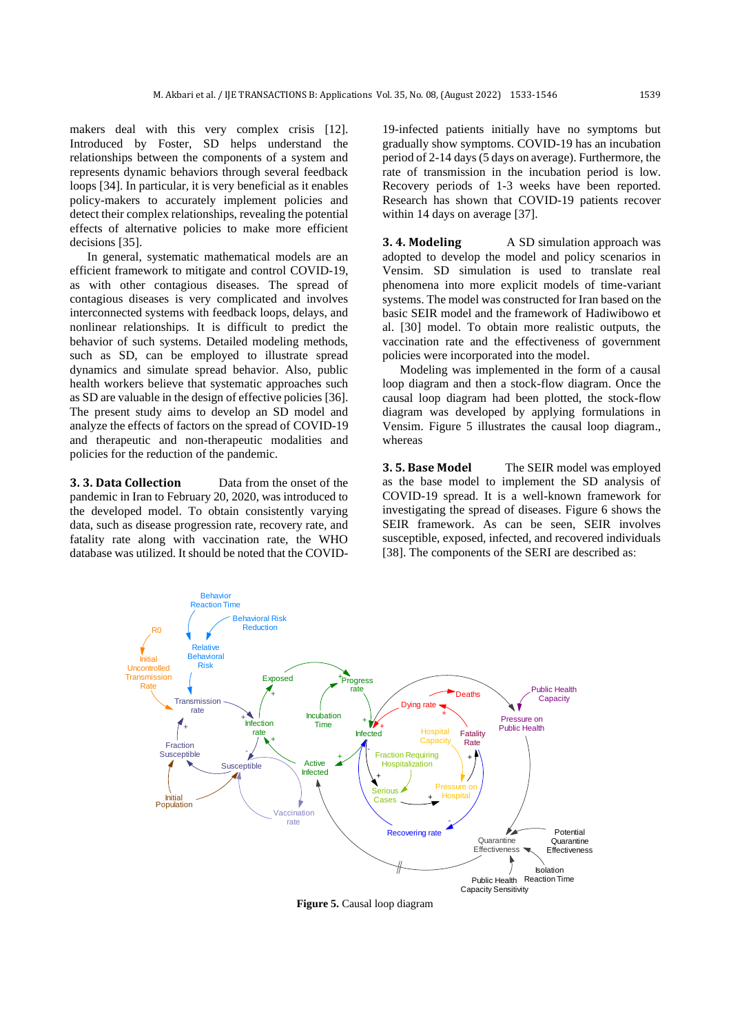makers deal with this very complex crisis [\[12\]](#page-12-9). Introduced by Foster, SD helps understand the relationships between the components of a system and represents dynamic behaviors through several feedback loops [\[34\]](#page-13-2). In particular, it is very beneficial as it enables policy-makers to accurately implement policies and detect their complex relationships, revealing the potential effects of alternative policies to make more efficient decisions [\[35\]](#page-13-3).

In general, systematic mathematical models are an efficient framework to mitigate and control COVID-19, as with other contagious diseases. The spread of contagious diseases is very complicated and involves interconnected systems with feedback loops, delays, and nonlinear relationships. It is difficult to predict the behavior of such systems. Detailed modeling methods, such as SD, can be employed to illustrate spread dynamics and simulate spread behavior. Also, public health workers believe that systematic approaches such as SD are valuable in the design of effective policies [\[36\]](#page-13-4). The present study aims to develop an SD model and analyze the effects of factors on the spread of COVID-19 and therapeutic and non-therapeutic modalities and policies for the reduction of the pandemic.

**3. 3. Data Collection** Data from the onset of the pandemic in Iran to February 20, 2020, was introduced to the developed model. To obtain consistently varying data, such as disease progression rate, recovery rate, and fatality rate along with vaccination rate, the WHO database was utilized. It should be noted that the COVID-

19-infected patients initially have no symptoms but gradually show symptoms. COVID-19 has an incubation period of 2-14 days (5 days on average). Furthermore, the rate of transmission in the incubation period is low. Recovery periods of 1-3 weeks have been reported. Research has shown that COVID-19 patients recover within 14 days on average [\[37\]](#page-13-5).

**3. 4. Modeling** A SD simulation approach was adopted to develop the model and policy scenarios in Vensim. SD simulation is used to translate real phenomena into more explicit models of time-variant systems. The model was constructed for Iran based on the basic SEIR model and the framework of Hadiwibowo et al. [\[30\]](#page-12-27) model. To obtain more realistic outputs, the vaccination rate and the effectiveness of government policies were incorporated into the model.

Modeling was implemented in the form of a causal loop diagram and then a stock-flow diagram. Once the causal loop diagram had been plotted, the stock-flow diagram was developed by applying formulations in Vensim. Figure 5 illustrates the causal loop diagram., whereas

**3. 5. Base Model** The SEIR model was employed as the base model to implement the SD analysis of COVID-19 spread. It is a well-known framework for investigating the spread of diseases. Figure 6 shows the SEIR framework. As can be seen, SEIR involves susceptible, exposed, infected, and recovered individuals [\[38\]](#page-13-6). The components of the SERI are described as:



**Figure 5.** Causal loop diagram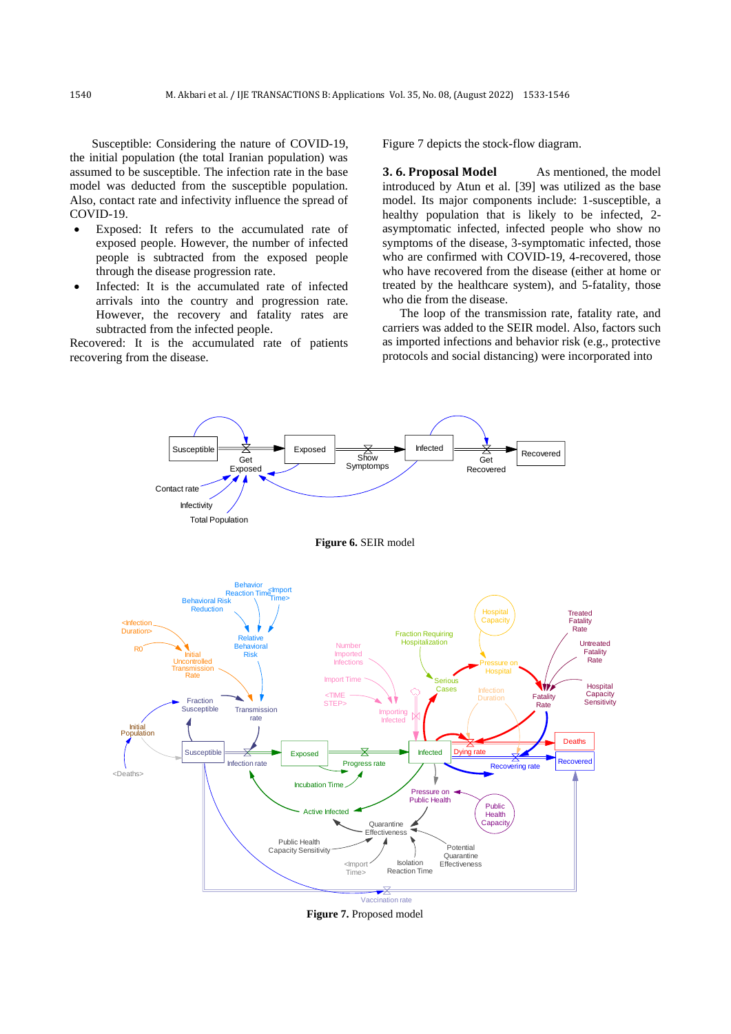Susceptible: Considering the nature of COVID-19, the initial population (the total Iranian population) was assumed to be susceptible. The infection rate in the base model was deducted from the susceptible population. Also, contact rate and infectivity influence the spread of COVID-19.

- Exposed: It refers to the accumulated rate of exposed people. However, the number of infected people is subtracted from the exposed people through the disease progression rate.
- Infected: It is the accumulated rate of infected arrivals into the country and progression rate. However, the recovery and fatality rates are subtracted from the infected people.

Recovered: It is the accumulated rate of patients recovering from the disease.

Figure 7 depicts the stock-flow diagram.

**3.6. Proposal Model** As mentioned, the model introduced by Atun et al. [\[39\]](#page-13-7) was utilized as the base model. Its major components include: 1-susceptible, a healthy population that is likely to be infected, 2 asymptomatic infected, infected people who show no symptoms of the disease, 3-symptomatic infected, those who are confirmed with COVID-19, 4-recovered, those who have recovered from the disease (either at home or treated by the healthcare system), and 5-fatality, those who die from the disease.

The loop of the transmission rate, fatality rate, and carriers was added to the SEIR model. Also, factors such as imported infections and behavior risk (e.g., protective protocols and social distancing) were incorporated into



**Figure 7.** Proposed model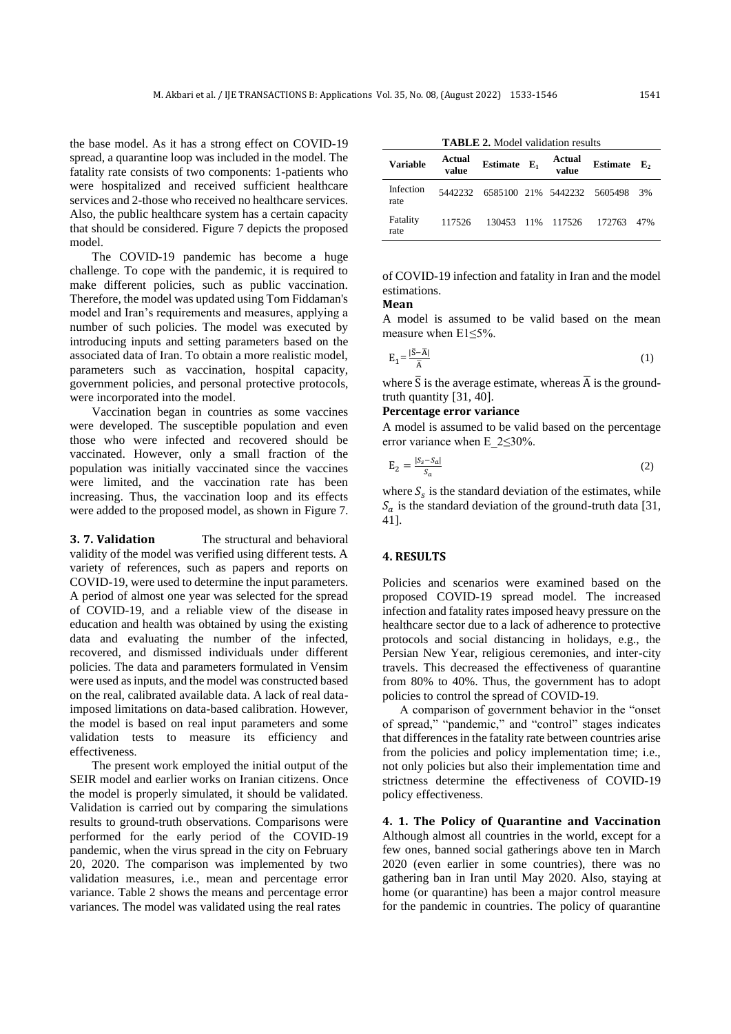the base model. As it has a strong effect on COVID-19 spread, a quarantine loop was included in the model. The fatality rate consists of two components: 1-patients who were hospitalized and received sufficient healthcare services and 2-those who received no healthcare services. Also, the public healthcare system has a certain capacity that should be considered. Figure 7 depicts the proposed model.

The COVID-19 pandemic has become a huge challenge. To cope with the pandemic, it is required to make different policies, such as public vaccination. Therefore, the model was updated using Tom Fiddaman's model and Iran's requirements and measures, applying a number of such policies. The model was executed by introducing inputs and setting parameters based on the associated data of Iran. To obtain a more realistic model, parameters such as vaccination, hospital capacity, government policies, and personal protective protocols, were incorporated into the model.

Vaccination began in countries as some vaccines were developed. The susceptible population and even those who were infected and recovered should be vaccinated. However, only a small fraction of the population was initially vaccinated since the vaccines were limited, and the vaccination rate has been increasing. Thus, the vaccination loop and its effects were added to the proposed model, as shown in Figure 7.

**3. 7. Validation** The structural and behavioral validity of the model was verified using different tests. A variety of references, such as papers and reports on COVID-19, were used to determine the input parameters. A period of almost one year was selected for the spread of COVID-19, and a reliable view of the disease in education and health was obtained by using the existing data and evaluating the number of the infected, recovered, and dismissed individuals under different policies. The data and parameters formulated in Vensim were used as inputs, and the model was constructed based on the real, calibrated available data. A lack of real dataimposed limitations on data-based calibration. However, the model is based on real input parameters and some validation tests to measure its efficiency and effectiveness.

The present work employed the initial output of the SEIR model and earlier works on Iranian citizens. Once the model is properly simulated, it should be validated. Validation is carried out by comparing the simulations results to ground-truth observations. Comparisons were performed for the early period of the COVID-19 pandemic, when the virus spread in the city on February 20, 2020. The comparison was implemented by two validation measures, i.e., mean and percentage error variance. Table 2 shows the means and percentage error variances. The model was validated using the real rates

**TABLE 2.** Model validation results

| <b>Variable</b>   | Actual<br>value | Estimate $E_1$              | Actual<br>value   | <b>Estimate</b> | E,  |
|-------------------|-----------------|-----------------------------|-------------------|-----------------|-----|
| Infection<br>rate | 5442232         | 6585100 21% 5442232 5605498 |                   |                 | 3%  |
| Fatality<br>rate  | 117526          |                             | 130453 11% 117526 | 172763          | 47% |

of COVID-19 infection and fatality in Iran and the model estimations.

### **Mean**

A model is assumed to be valid based on the mean measure when E1≤5%.

$$
E_1 = \frac{|\bar{S} - \bar{A}|}{\bar{A}}\tag{1}
$$

where  $\bar{S}$  is the average estimate, whereas  $\bar{A}$  is the groundtruth quantity [\[31,](#page-12-28) [40\]](#page-13-8).

## **Percentage error variance**

A model is assumed to be valid based on the percentage error variance when E\_2≤30%.

$$
E_2 = \frac{|S_s - S_a|}{S_a} \tag{2}
$$

where  $S_s$  is the standard deviation of the estimates, while  $S_a$  is the standard deviation of the ground-truth data [\[31,](#page-12-28) [41\]](#page-13-9).

### **4. RESULTS**

Policies and scenarios were examined based on the proposed COVID-19 spread model. The increased infection and fatality rates imposed heavy pressure on the healthcare sector due to a lack of adherence to protective protocols and social distancing in holidays, e.g., the Persian New Year, religious ceremonies, and inter-city travels. This decreased the effectiveness of quarantine from 80% to 40%. Thus, the government has to adopt policies to control the spread of COVID-19.

A comparison of government behavior in the "onset of spread," "pandemic," and "control" stages indicates that differences in the fatality rate between countries arise from the policies and policy implementation time; i.e., not only policies but also their implementation time and strictness determine the effectiveness of COVID-19 policy effectiveness.

**4. 1. The Policy of Quarantine and Vaccination**  Although almost all countries in the world, except for a few ones, banned social gatherings above ten in March 2020 (even earlier in some countries), there was no gathering ban in Iran until May 2020. Also, staying at home (or quarantine) has been a major control measure for the pandemic in countries. The policy of quarantine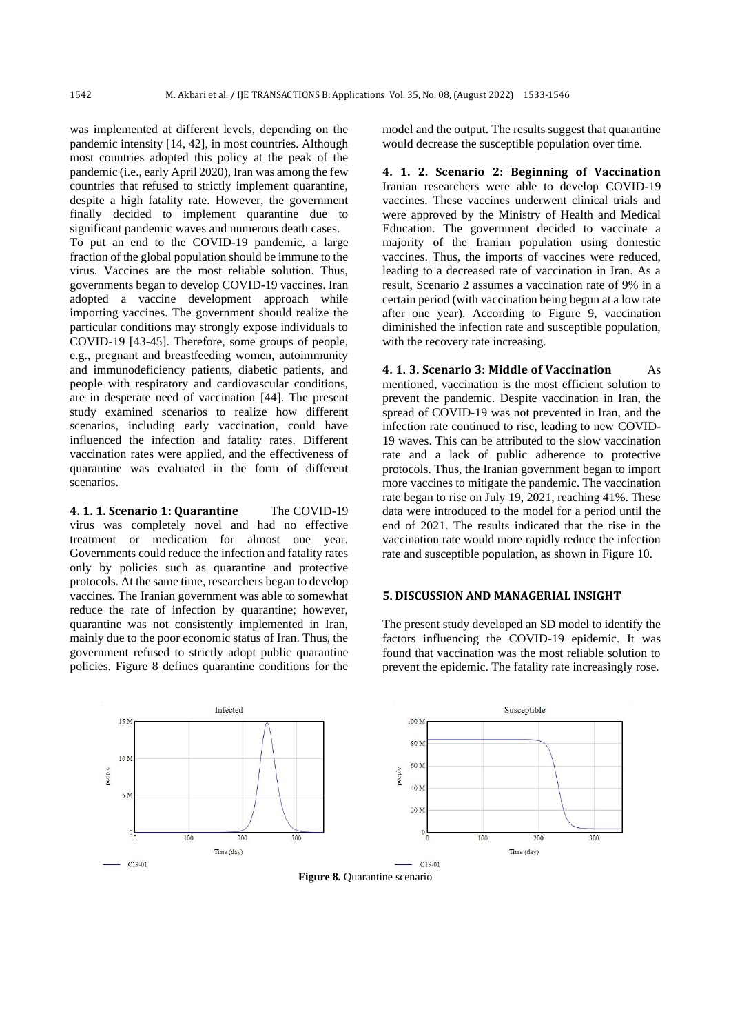was implemented at different levels, depending on the pandemic intensity [\[14,](#page-12-11) [42\]](#page-13-10), in most countries. Although most countries adopted this policy at the peak of the pandemic (i.e., early April 2020), Iran was among the few countries that refused to strictly implement quarantine, despite a high fatality rate. However, the government finally decided to implement quarantine due to significant pandemic waves and numerous death cases.

To put an end to the COVID-19 pandemic, a large fraction of the global population should be immune to the virus. Vaccines are the most reliable solution. Thus, governments began to develop COVID-19 vaccines. Iran adopted a vaccine development approach while importing vaccines. The government should realize the particular conditions may strongly expose individuals to COVID-19 [\[43-45\]](#page-13-11). Therefore, some groups of people, e.g., pregnant and breastfeeding women, autoimmunity and immunodeficiency patients, diabetic patients, and people with respiratory and cardiovascular conditions, are in desperate need of vaccination [\[44\]](#page-13-12). The present study examined scenarios to realize how different scenarios, including early vaccination, could have influenced the infection and fatality rates. Different vaccination rates were applied, and the effectiveness of quarantine was evaluated in the form of different scenarios.

**4. 1. 1. Scenario 1: Quarantine** The COVID-19 virus was completely novel and had no effective treatment or medication for almost one year. Governments could reduce the infection and fatality rates only by policies such as quarantine and protective protocols. At the same time, researchers began to develop vaccines. The Iranian government was able to somewhat reduce the rate of infection by quarantine; however, quarantine was not consistently implemented in Iran, mainly due to the poor economic status of Iran. Thus, the government refused to strictly adopt public quarantine policies. Figure 8 defines quarantine conditions for the

Infected  $15<sub>N</sub>$  $10<sub>N</sub>$ oldoac  $5<sub>N</sub>$  $100$  $200$  $300$ Time (day)  $-C19.01$ 

model and the output. The results suggest that quarantine would decrease the susceptible population over time.

**4. 1. 2. Scenario 2: Beginning of Vaccination**  Iranian researchers were able to develop COVID-19 vaccines. These vaccines underwent clinical trials and were approved by the Ministry of Health and Medical Education. The government decided to vaccinate a majority of the Iranian population using domestic vaccines. Thus, the imports of vaccines were reduced, leading to a decreased rate of vaccination in Iran. As a result, Scenario 2 assumes a vaccination rate of 9% in a certain period (with vaccination being begun at a low rate after one year). According to Figure 9, vaccination diminished the infection rate and susceptible population, with the recovery rate increasing.

**4. 1. 3. Scenario 3: Middle of Vaccination** As mentioned, vaccination is the most efficient solution to prevent the pandemic. Despite vaccination in Iran, the spread of COVID-19 was not prevented in Iran, and the infection rate continued to rise, leading to new COVID-19 waves. This can be attributed to the slow vaccination rate and a lack of public adherence to protective protocols. Thus, the Iranian government began to import more vaccines to mitigate the pandemic. The vaccination rate began to rise on July 19, 2021, reaching 41%. These data were introduced to the model for a period until the end of 2021. The results indicated that the rise in the vaccination rate would more rapidly reduce the infection rate and susceptible population, as shown in Figure 10.

## **5. DISCUSSION AND MANAGERIAL INSIGHT**



The present study developed an SD model to identify the factors influencing the COVID-19 epidemic. It was found that vaccination was the most reliable solution to prevent the epidemic. The fatality rate increasingly rose.

**Figure 8.** Quarantine scenario

 $-C19-01$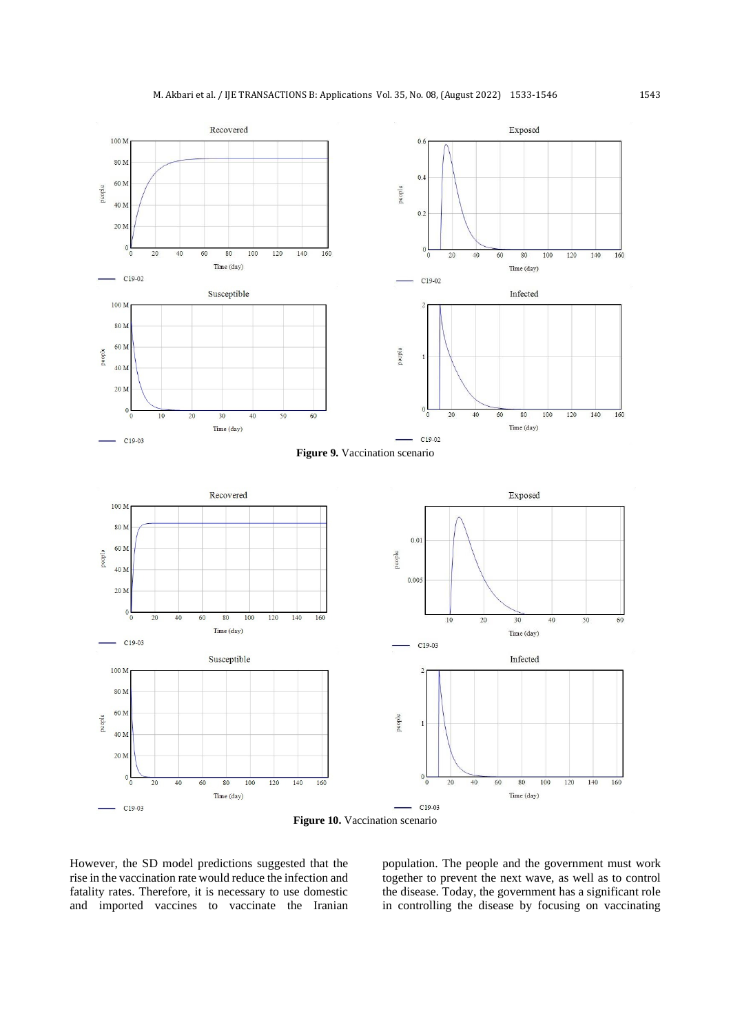



However, the SD model predictions suggested that the rise in the vaccination rate would reduce the infection and fatality rates. Therefore, it is necessary to use domestic and imported vaccines to vaccinate the Iranian population. The people and the government must work together to prevent the next wave, as well as to control the disease. Today, the government has a significant role in controlling the disease by focusing on vaccinating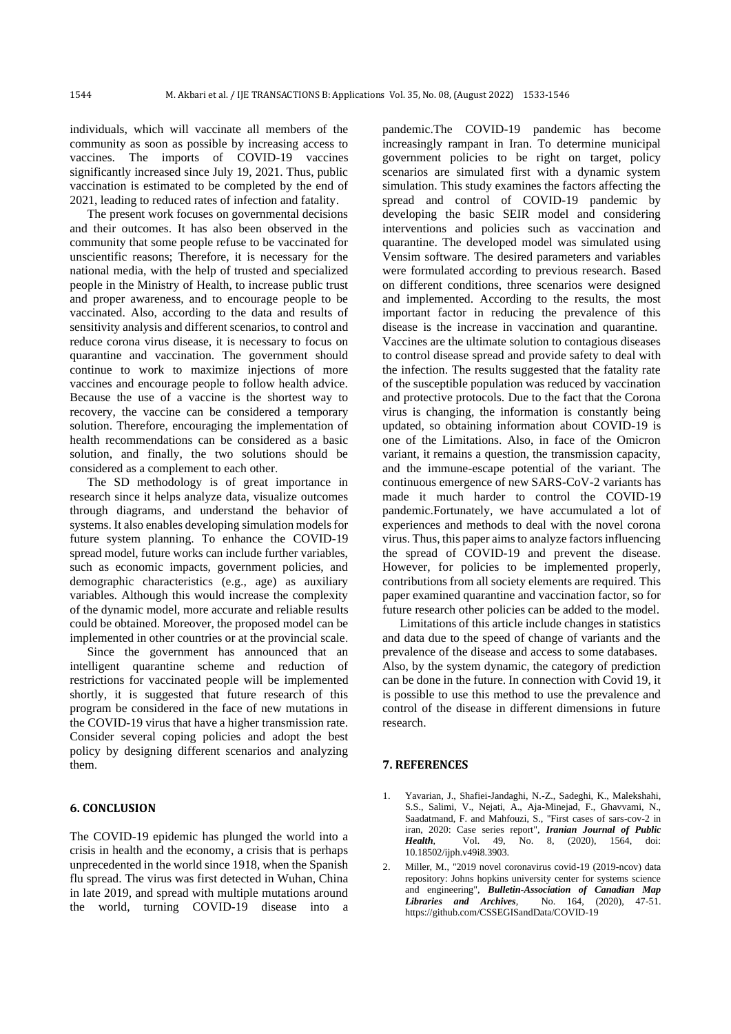individuals, which will vaccinate all members of the community as soon as possible by increasing access to vaccines. The imports of COVID-19 vaccines significantly increased since July 19, 2021. Thus, public vaccination is estimated to be completed by the end of 2021, leading to reduced rates of infection and fatality.

The present work focuses on governmental decisions and their outcomes. It has also been observed in the community that some people refuse to be vaccinated for unscientific reasons; Therefore, it is necessary for the national media, with the help of trusted and specialized people in the Ministry of Health, to increase public trust and proper awareness, and to encourage people to be vaccinated. Also, according to the data and results of sensitivity analysis and different scenarios, to control and reduce corona virus disease, it is necessary to focus on quarantine and vaccination. The government should continue to work to maximize injections of more vaccines and encourage people to follow health advice. Because the use of a vaccine is the shortest way to recovery, the vaccine can be considered a temporary solution. Therefore, encouraging the implementation of health recommendations can be considered as a basic solution, and finally, the two solutions should be considered as a complement to each other.

The SD methodology is of great importance in research since it helps analyze data, visualize outcomes through diagrams, and understand the behavior of systems. It also enables developing simulation models for future system planning. To enhance the COVID-19 spread model, future works can include further variables, such as economic impacts, government policies, and demographic characteristics (e.g., age) as auxiliary variables. Although this would increase the complexity of the dynamic model, more accurate and reliable results could be obtained. Moreover, the proposed model can be implemented in other countries or at the provincial scale .

Since the government has announced that an intelligent quarantine scheme and reduction of restrictions for vaccinated people will be implemented shortly, it is suggested that future research of this program be considered in the face of new mutations in the COVID-19 virus that have a higher transmission rate. Consider several coping policies and adopt the best policy by designing different scenarios and analyzing them .

### **6. CONCLUSION**

The COVID-19 epidemic has plunged the world into a crisis in health and the economy, a crisis that is perhaps unprecedented in the world since 1918, when the Spanish flu spread. The virus was first detected in Wuhan, China in late 2019, and spread with multiple mutations around the world, turning COVID-19 disease into a pandemic.The COVID-19 pandemic has become increasingly rampant in Iran. To determine municipal government policies to be right on target, policy scenarios are simulated first with a dynamic system simulation. This study examines the factors affecting the spread and control of COVID-19 pandemic by developing the basic SEIR model and considering interventions and policies such as vaccination and quarantine. The developed model was simulated using Vensim software. The desired parameters and variables were formulated according to previous research. Based on different conditions, three scenarios were designed and implemented. According to the results, the most important factor in reducing the prevalence of this disease is the increase in vaccination and quarantine. Vaccines are the ultimate solution to contagious diseases to control disease spread and provide safety to deal with the infection. The results suggested that the fatality rate of the susceptible population was reduced by vaccination and protective protocols. Due to the fact that the Corona virus is changing, the information is constantly being updated, so obtaining information about COVID-19 is one of the Limitations. Also, in face of the Omicron variant, it remains a question, the transmission capacity, and the immune-escape potential of the variant. The continuous emergence of new SARS-CoV-2 variants has made it much harder to control the COVID-19 pandemic.Fortunately, we have accumulated a lot of experiences and methods to deal with the novel corona virus. Thus, this paper aims to analyze factors influencing the spread of COVID-19 and prevent the disease. However, for policies to be implemented properly, contributions from all society elements are required. This paper examined quarantine and vaccination factor, so for future research other policies can be added to the model.

Limitations of this article include changes in statistics and data due to the speed of change of variants and the prevalence of the disease and access to some databases. Also, by the system dynamic, the category of prediction can be done in the future. In connection with Covid 19, it is possible to use this method to use the prevalence and control of the disease in different dimensions in future research.

#### **7. REFERENCES**

- <span id="page-11-0"></span>1. Yavarian, J., Shafiei-Jandaghi, N.-Z., Sadeghi, K., Malekshahi, S.S., Salimi, V., Nejati, A., Aja-Minejad, F., Ghavvami, N., Saadatmand, F. and Mahfouzi, S., "First cases of sars-cov-2 in iran, 2020: Case series report", *Iranian Journal of Public Health*, Vol. 49, No. 8, (2020), 1564, doi: 10.18502/ijph.v49i8.3903.
- <span id="page-11-1"></span>2. Miller, M., "2019 novel coronavirus covid-19 (2019-ncov) data repository: Johns hopkins university center for systems science and engineering", *Bulletin-Association of Canadian Map Libraries and Archives*, No. 164, (2020), 47-51. <https://github.com/CSSEGISandData/COVID-19>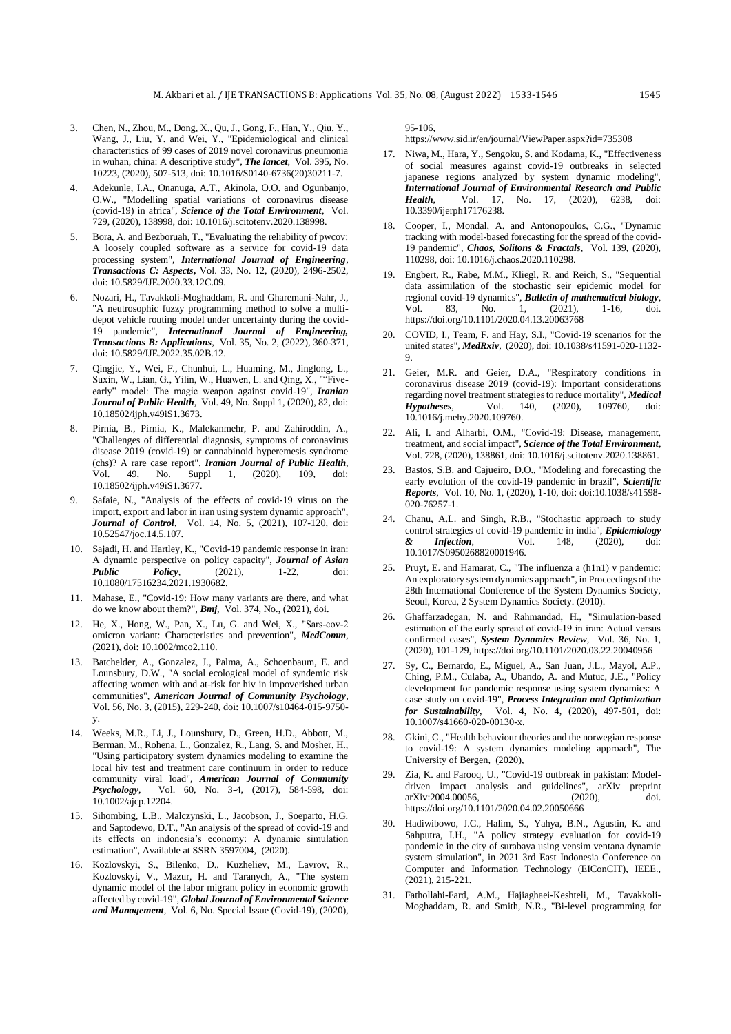- <span id="page-12-0"></span>3. Chen, N., Zhou, M., Dong, X., Qu, J., Gong, F., Han, Y., Qiu, Y., Wang, J., Liu, Y. and Wei, Y., "Epidemiological and clinical characteristics of 99 cases of 2019 novel coronavirus pneumonia in wuhan, china: A descriptive study", *The lancet*, Vol. 395, No. 10223, (2020), 507-513, doi: 10.1016/S0140-6736(20)30211-7.
- <span id="page-12-1"></span>4. Adekunle, I.A., Onanuga, A.T., Akinola, O.O. and Ogunbanjo, O.W., "Modelling spatial variations of coronavirus disease (covid-19) in africa", *Science of the Total Environment*, Vol. 729, (2020), 138998, doi: 10.1016/j.scitotenv.2020.138998.
- <span id="page-12-2"></span>5. Bora, A. and Bezboruah, T., "Evaluating the reliability of pwcov: A loosely coupled software as a service for covid-19 data processing system", *International Journal of Engineering*, *Transactions C: Aspects***,** Vol. 33, No. 12, (2020), 2496-2502, doi: 10.5829/IJE.2020.33.12C.09.
- <span id="page-12-3"></span>6. Nozari, H., Tavakkoli-Moghaddam, R. and Gharemani-Nahr, J., "A neutrosophic fuzzy programming method to solve a multidepot vehicle routing model under uncertainty during the covid-19 pandemic", *International Journal of Engineering, Transactions B: Applications*, Vol. 35, No. 2, (2022), 360-371, doi: 10.5829/IJE.2022.35.02B.12.
- <span id="page-12-4"></span>7. Qingjie, Y., Wei, F., Chunhui, L., Huaming, M., Jinglong, L., Suxin, W., Lian, G., Yilin, W., Huawen, L. and Qing, X., ""Fiveearly" model: The magic weapon against covid-19", *Iranian Journal of Public Health*, Vol. 49, No. Suppl 1, (2020), 82, doi: 10.18502/ijph.v49iS1.3673.
- <span id="page-12-5"></span>8. Pirnia, B., Pirnia, K., Malekanmehr, P. and Zahiroddin, A., "Challenges of differential diagnosis, symptoms of coronavirus disease 2019 (covid-19) or cannabinoid hyperemesis syndrome (chs)? A rare case report", *Iranian Journal of Public Health*, Vol. 49, No. Suppl 1, (2020), 109, doi: 10.18502/ijph.v49iS1.3677.
- <span id="page-12-6"></span>9. Safaie, N., "Analysis of the effects of covid-19 virus on the import, export and labor in iran using system dynamic approach", *Journal of Control*, Vol. 14, No. 5, (2021), 107-120, doi: 10.52547/joc.14.5.107.
- <span id="page-12-7"></span>10. Sajadi, H. and Hartley, K., "Covid-19 pandemic response in iran: A dynamic perspective on policy capacity", *Journal of Asian Public Policy*, (2021), 1-22, 10.1080/17516234.2021.1930682.
- <span id="page-12-8"></span>11. Mahase, E., "Covid-19: How many variants are there, and what do we know about them?", *Bmj*, Vol. 374, No., (2021), doi.
- <span id="page-12-9"></span>12. He, X., Hong, W., Pan, X., Lu, G. and Wei, X., "Sars‐cov‐2 omicron variant: Characteristics and prevention", *MedComm*, (2021), doi: 10.1002/mco2.110.
- <span id="page-12-10"></span>13. Batchelder, A., Gonzalez, J., Palma, A., Schoenbaum, E. and Lounsbury, D.W., "A social ecological model of syndemic risk affecting women with and at-risk for hiv in impoverished urban communities", *American Journal of Community Psychology*, Vol. 56, No. 3, (2015), 229-240, doi: 10.1007/s10464-015-9750 y.
- <span id="page-12-11"></span>14. Weeks, M.R., Li, J., Lounsbury, D., Green, H.D., Abbott, M., Berman, M., Rohena, L., Gonzalez, R., Lang, S. and Mosher, H., "Using participatory system dynamics modeling to examine the local hiv test and treatment care continuum in order to reduce community viral load", *American Journal of Community Psychology*, Vol. 60, No. 3-4, (2017), 584-598, doi: 10.1002/ajcp.12204.
- <span id="page-12-12"></span>15. Sihombing, L.B., Malczynski, L., Jacobson, J., Soeparto, H.G. and Saptodewo, D.T., "An analysis of the spread of covid-19 and its effects on indonesia's economy: A dynamic simulation estimation", Available at SSRN 3597004, (2020).
- <span id="page-12-13"></span>16. Kozlovskyi, S., Bilenko, D., Kuzheliev, M., Lavrov, R., Kozlovskyi, V., Mazur, H. and Taranych, A., "The system dynamic model of the labor migrant policy in economic growth affected by covid-19", *Global Journal of Environmental Science and Management*, Vol. 6, No. Special Issue (Covid-19), (2020),

95-106, <https://www.sid.ir/en/journal/ViewPaper.aspx?id=735308>

- <span id="page-12-14"></span>17. Niwa, M., Hara, Y., Sengoku, S. and Kodama, K., "Effectiveness of social measures against covid-19 outbreaks in selected japanese regions analyzed by system dynamic modeling", *International Journal of Environmental Research and Public Health*, Vol. 17, No. 17, (2020), 6238, doi: 10.3390/ijerph17176238.
- <span id="page-12-15"></span>18. Cooper, I., Mondal, A. and Antonopoulos, C.G., "Dynamic tracking with model-based forecasting for the spread of the covid-19 pandemic", *Chaos, Solitons & Fractals*, Vol. 139, (2020), 110298, doi: 10.1016/j.chaos.2020.110298.
- <span id="page-12-16"></span>19. Engbert, R., Rabe, M.M., Kliegl, R. and Reich, S., "Sequential data assimilation of the stochastic seir epidemic model for regional covid-19 dynamics", *Bulletin of mathematical biology*, Vol. 83, No. 1, (2021), 1-16, doi. <https://doi.org/10.1101/2020.04.13.20063768>
- <span id="page-12-17"></span>20. COVID, I., Team, F. and Hay, S.I., "Covid-19 scenarios for the united states", *MedRxiv*, (2020), doi: 10.1038/s41591-020-1132- 9.
- <span id="page-12-18"></span>21. Geier, M.R. and Geier, D.A., "Respiratory conditions in coronavirus disease 2019 (covid-19): Important considerations regarding novel treatment strategies to reduce mortality", *Medical Hypotheses*, Vol. 140, (2020), 109760, 10.1016/j.mehy.2020.109760.
- <span id="page-12-19"></span>22. Ali, I. and Alharbi, O.M., "Covid-19: Disease, management, treatment, and social impact", *Science of the Total Environment*, Vol. 728, (2020), 138861, doi: 10.1016/j.scitotenv.2020.138861.
- <span id="page-12-20"></span>23. Bastos, S.B. and Cajueiro, D.O., "Modeling and forecasting the early evolution of the covid-19 pandemic in brazil", *Scientific Reports*, Vol. 10, No. 1, (2020), 1-10, doi: doi:10.1038/s41598- 020-76257-1.
- <span id="page-12-21"></span>24. Chanu, A.L. and Singh, R.B., "Stochastic approach to study control strategies of covid-19 pandemic in india", *Epidemiology & Infection*, Vol. 148, (2020), doi: 10.1017/S0950268820001946.
- <span id="page-12-22"></span>25. Pruyt, E. and Hamarat, C., "The influenza a (h1n1) v pandemic: An exploratory system dynamics approach", in Proceedings of the 28th International Conference of the System Dynamics Society, Seoul, Korea, 2 System Dynamics Society. (2010).
- <span id="page-12-23"></span>26. Ghaffarzadegan, N. and Rahmandad, H., "Simulation‐based estimation of the early spread of covid‐19 in iran: Actual versus confirmed cases", *System Dynamics Review*, Vol. 36, No. 1, (2020), 101-129[, https://doi.org/10.1101/2020.03.22.20040956](https://doi.org/10.1101/2020.03.22.20040956)
- <span id="page-12-24"></span>27. Sy, C., Bernardo, E., Miguel, A., San Juan, J.L., Mayol, A.P., Ching, P.M., Culaba, A., Ubando, A. and Mutuc, J.E., "Policy development for pandemic response using system dynamics: A case study on covid-19", *Process Integration and Optimization for Sustainability*, Vol. 4, No. 4, (2020), 497-501, doi: 10.1007/s41660-020-00130-x.
- <span id="page-12-25"></span>28. Gkini, C., "Health behaviour theories and the norwegian response to covid-19: A system dynamics modeling approach", The University of Bergen, (2020),
- <span id="page-12-26"></span>29. Zia, K. and Farooq, U., "Covid-19 outbreak in pakistan: Modeldriven impact analysis and guidelines", arXiv preprint arXiv:2004.00056, (2020), doi. <https://doi.org/10.1101/2020.04.02.20050666>
- <span id="page-12-27"></span>Hadiwibowo, J.C., Halim, S., Yahya, B.N., Agustin, K. and Sahputra, I.H., "A policy strategy evaluation for covid-19 pandemic in the city of surabaya using vensim ventana dynamic system simulation", in 2021 3rd East Indonesia Conference on Computer and Information Technology (EIConCIT), IEEE., (2021), 215-221.
- <span id="page-12-28"></span>31. Fathollahi-Fard, A.M., Hajiaghaei-Keshteli, M., Tavakkoli-Moghaddam, R. and Smith, N.R., "Bi-level programming for